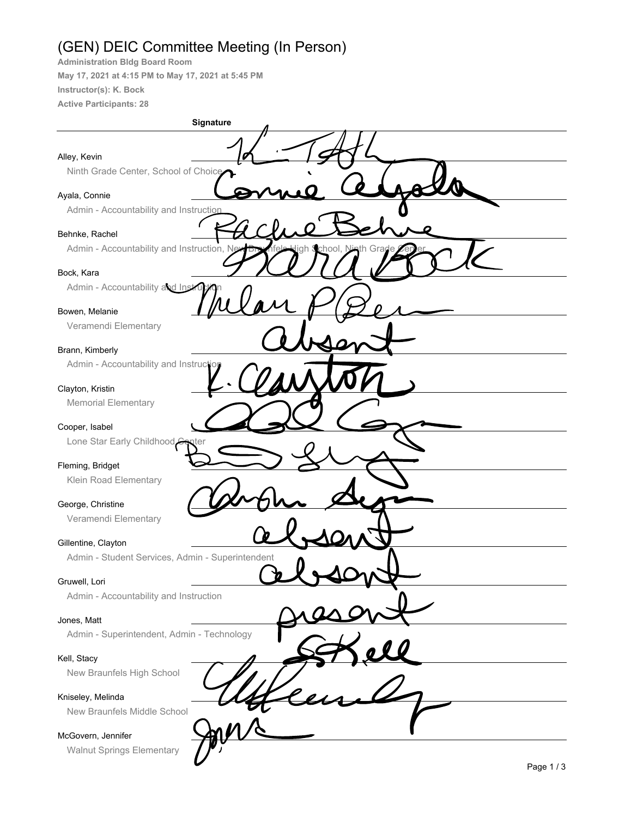## (GEN) DEIC Committee Meeting (In Person)

**Administration Bldg Board Room** 

May 17, 2021 at 4:15 PM to May 17, 2021 at 5:45 PM Instructor(s): K. Bock **Active Participants: 28** 

| Signature                                                        |
|------------------------------------------------------------------|
| Alley, Kevin                                                     |
| Ninth Grade Center, School of Choice                             |
| Ayala, Connie                                                    |
| Admin - Accountability and Instruction                           |
| Behnke, Rachel                                                   |
| Admin - Accountability and Instruction, Ne<br>chool, N<br>in Gra |
| Bock, Kara                                                       |
| Admin - Accountability and Instru                                |
| Bowen, Melanie                                                   |
| Veramendi Elementary                                             |
| Brann, Kimberly                                                  |
| Admin - Accountability and Instruction                           |
| Clayton, Kristin                                                 |
| <b>Memorial Elementary</b>                                       |
| Cooper, Isabel                                                   |
| Lone Star Early Childhood C                                      |
| Fleming, Bridget                                                 |
| Klein Road Elementary                                            |
| George, Christine                                                |
| Veramendi Elementary                                             |
| Gillentine, Clayton                                              |
| Admin - Student Services, Admin - Superintendent                 |
| Gruwell, Lori                                                    |
| Admin - Accountability and Instruction                           |
| Jones, Matt                                                      |
| Admin - Superintendent, Admin - Technology                       |
| Kell, Stacy                                                      |
| New Braunfels High School                                        |
| Kniseley, Melinda                                                |
| New Braunfels Middle School                                      |
| McGovern, Jennifer                                               |
| <b>Walnut Springs Elementary</b>                                 |
|                                                                  |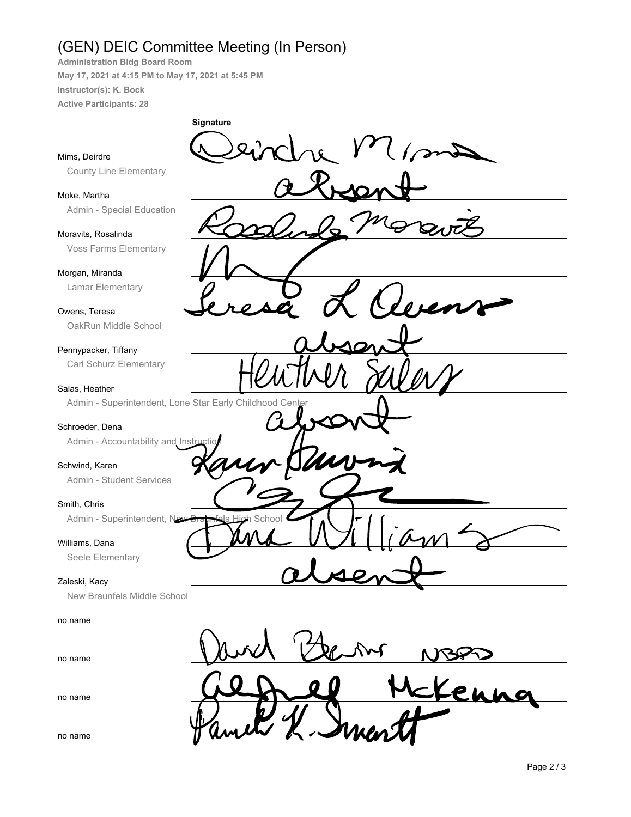## (GEN) DEIC Committee Meeting (In Person)

**Administration Bldg Board Room May 17, 2021 at 4:15 PM to May 17, 2021 at 5:45 PM**

**Instructor(s): K. Bock**

**Active Participants: 28**